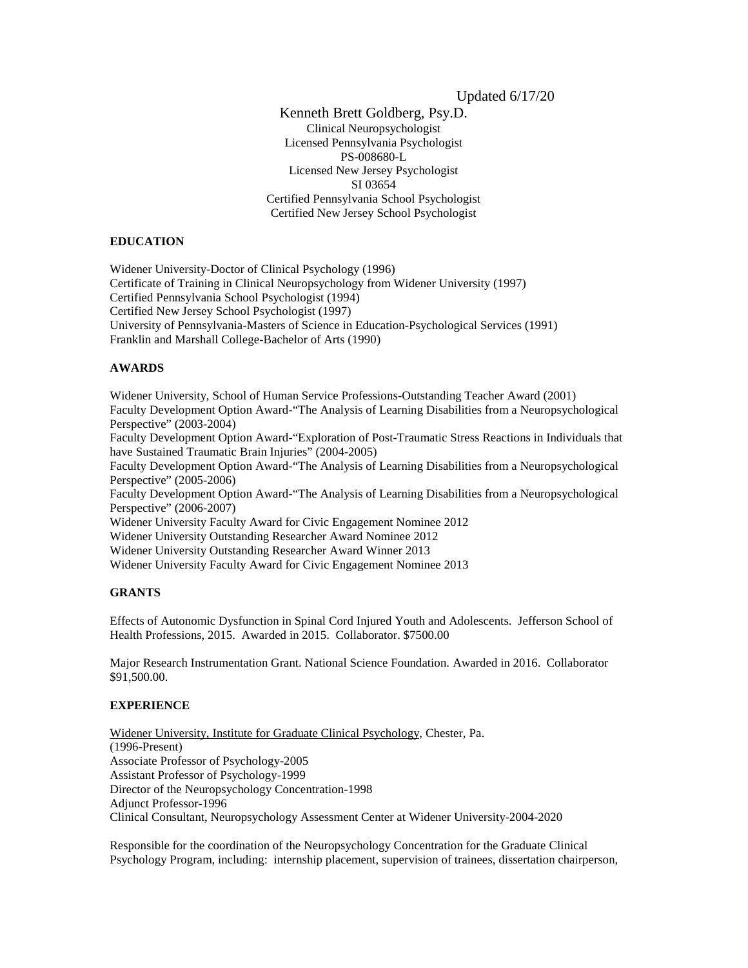Updated 6/17/20

Kenneth Brett Goldberg, Psy.D. Clinical Neuropsychologist Licensed Pennsylvania Psychologist PS-008680-L Licensed New Jersey Psychologist SI 03654 Certified Pennsylvania School Psychologist Certified New Jersey School Psychologist

## **EDUCATION**

Widener University-Doctor of Clinical Psychology (1996) Certificate of Training in Clinical Neuropsychology from Widener University (1997) Certified Pennsylvania School Psychologist (1994) Certified New Jersey School Psychologist (1997) University of Pennsylvania-Masters of Science in Education-Psychological Services (1991) Franklin and Marshall College-Bachelor of Arts (1990)

## **AWARDS**

Widener University, School of Human Service Professions-Outstanding Teacher Award (2001) Faculty Development Option Award-"The Analysis of Learning Disabilities from a Neuropsychological Perspective" (2003-2004) Faculty Development Option Award-"Exploration of Post-Traumatic Stress Reactions in Individuals that have Sustained Traumatic Brain Injuries" (2004-2005) Faculty Development Option Award-"The Analysis of Learning Disabilities from a Neuropsychological Perspective" (2005-2006) Faculty Development Option Award-"The Analysis of Learning Disabilities from a Neuropsychological Perspective" (2006-2007) Widener University Faculty Award for Civic Engagement Nominee 2012 Widener University Outstanding Researcher Award Nominee 2012 Widener University Outstanding Researcher Award Winner 2013 Widener University Faculty Award for Civic Engagement Nominee 2013

# **GRANTS**

Effects of Autonomic Dysfunction in Spinal Cord Injured Youth and Adolescents. Jefferson School of Health Professions, 2015. Awarded in 2015. Collaborator. \$7500.00

Major Research Instrumentation Grant. National Science Foundation. Awarded in 2016. Collaborator \$91,500.00.

# **EXPERIENCE**

Widener University, Institute for Graduate Clinical Psychology, Chester, Pa. (1996-Present) Associate Professor of Psychology-2005 Assistant Professor of Psychology-1999 Director of the Neuropsychology Concentration-1998 Adjunct Professor-1996 Clinical Consultant, Neuropsychology Assessment Center at Widener University-2004-2020

Responsible for the coordination of the Neuropsychology Concentration for the Graduate Clinical Psychology Program, including: internship placement, supervision of trainees, dissertation chairperson,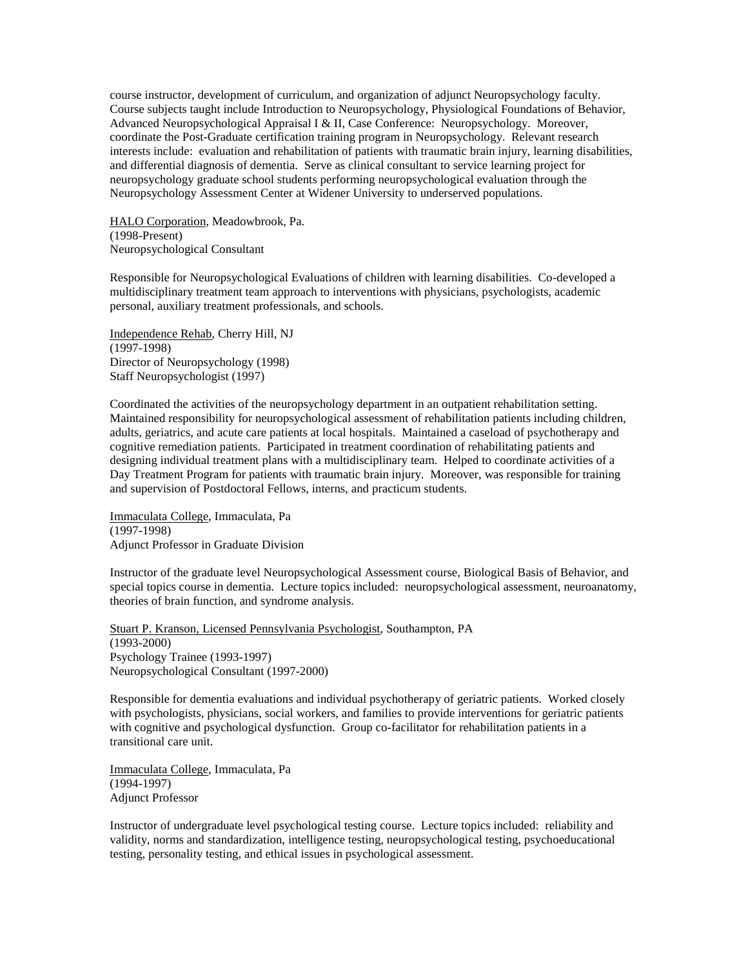course instructor, development of curriculum, and organization of adjunct Neuropsychology faculty. Course subjects taught include Introduction to Neuropsychology, Physiological Foundations of Behavior, Advanced Neuropsychological Appraisal I & II, Case Conference: Neuropsychology. Moreover, coordinate the Post-Graduate certification training program in Neuropsychology. Relevant research interests include: evaluation and rehabilitation of patients with traumatic brain injury, learning disabilities, and differential diagnosis of dementia. Serve as clinical consultant to service learning project for neuropsychology graduate school students performing neuropsychological evaluation through the Neuropsychology Assessment Center at Widener University to underserved populations.

HALO Corporation, Meadowbrook, Pa. (1998-Present) Neuropsychological Consultant

Responsible for Neuropsychological Evaluations of children with learning disabilities. Co-developed a multidisciplinary treatment team approach to interventions with physicians, psychologists, academic personal, auxiliary treatment professionals, and schools.

Independence Rehab, Cherry Hill, NJ (1997-1998) Director of Neuropsychology (1998) Staff Neuropsychologist (1997)

Coordinated the activities of the neuropsychology department in an outpatient rehabilitation setting. Maintained responsibility for neuropsychological assessment of rehabilitation patients including children, adults, geriatrics, and acute care patients at local hospitals. Maintained a caseload of psychotherapy and cognitive remediation patients. Participated in treatment coordination of rehabilitating patients and designing individual treatment plans with a multidisciplinary team. Helped to coordinate activities of a Day Treatment Program for patients with traumatic brain injury. Moreover, was responsible for training and supervision of Postdoctoral Fellows, interns, and practicum students.

Immaculata College, Immaculata, Pa (1997-1998) Adjunct Professor in Graduate Division

Instructor of the graduate level Neuropsychological Assessment course, Biological Basis of Behavior, and special topics course in dementia. Lecture topics included: neuropsychological assessment, neuroanatomy, theories of brain function, and syndrome analysis.

Stuart P. Kranson, Licensed Pennsylvania Psychologist, Southampton, PA (1993-2000) Psychology Trainee (1993-1997) Neuropsychological Consultant (1997-2000)

Responsible for dementia evaluations and individual psychotherapy of geriatric patients. Worked closely with psychologists, physicians, social workers, and families to provide interventions for geriatric patients with cognitive and psychological dysfunction. Group co-facilitator for rehabilitation patients in a transitional care unit.

Immaculata College, Immaculata, Pa (1994-1997) Adjunct Professor

Instructor of undergraduate level psychological testing course. Lecture topics included: reliability and validity, norms and standardization, intelligence testing, neuropsychological testing, psychoeducational testing, personality testing, and ethical issues in psychological assessment.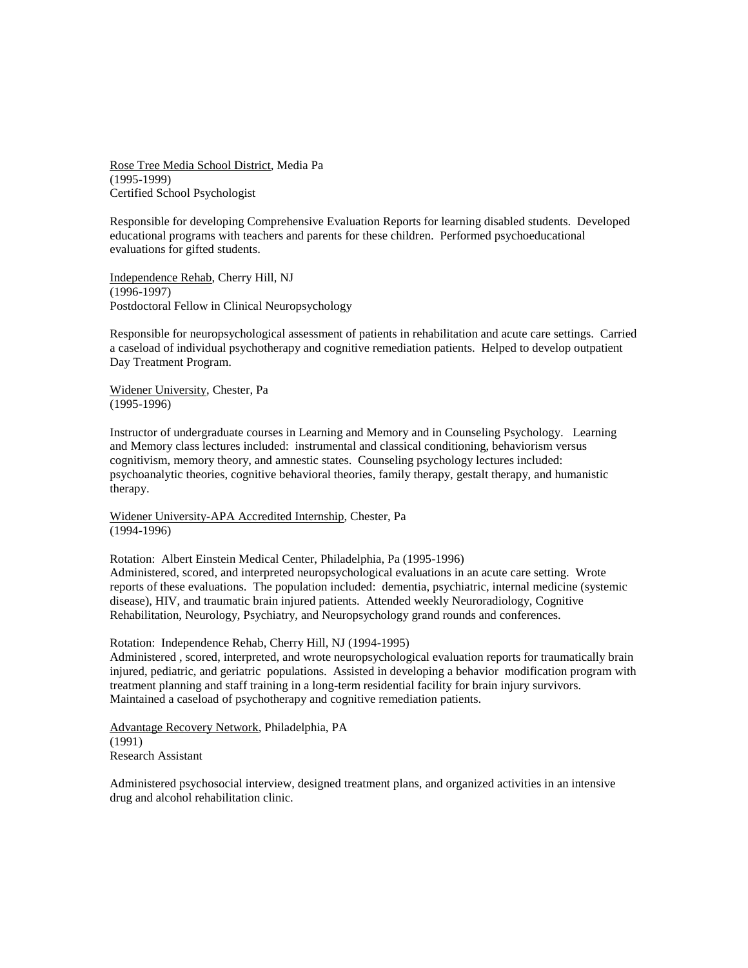Rose Tree Media School District, Media Pa (1995-1999) Certified School Psychologist

Responsible for developing Comprehensive Evaluation Reports for learning disabled students. Developed educational programs with teachers and parents for these children. Performed psychoeducational evaluations for gifted students.

Independence Rehab, Cherry Hill, NJ (1996-1997) Postdoctoral Fellow in Clinical Neuropsychology

Responsible for neuropsychological assessment of patients in rehabilitation and acute care settings. Carried a caseload of individual psychotherapy and cognitive remediation patients. Helped to develop outpatient Day Treatment Program.

Widener University, Chester, Pa (1995-1996)

Instructor of undergraduate courses in Learning and Memory and in Counseling Psychology. Learning and Memory class lectures included: instrumental and classical conditioning, behaviorism versus cognitivism, memory theory, and amnestic states. Counseling psychology lectures included: psychoanalytic theories, cognitive behavioral theories, family therapy, gestalt therapy, and humanistic therapy.

Widener University-APA Accredited Internship, Chester, Pa (1994-1996)

Rotation: Albert Einstein Medical Center, Philadelphia, Pa (1995-1996) Administered, scored, and interpreted neuropsychological evaluations in an acute care setting. Wrote reports of these evaluations. The population included: dementia, psychiatric, internal medicine (systemic disease), HIV, and traumatic brain injured patients. Attended weekly Neuroradiology, Cognitive Rehabilitation, Neurology, Psychiatry, and Neuropsychology grand rounds and conferences.

Rotation: Independence Rehab, Cherry Hill, NJ (1994-1995)

Administered , scored, interpreted, and wrote neuropsychological evaluation reports for traumatically brain injured, pediatric, and geriatric populations. Assisted in developing a behavior modification program with treatment planning and staff training in a long-term residential facility for brain injury survivors. Maintained a caseload of psychotherapy and cognitive remediation patients.

Advantage Recovery Network, Philadelphia, PA (1991) Research Assistant

Administered psychosocial interview, designed treatment plans, and organized activities in an intensive drug and alcohol rehabilitation clinic.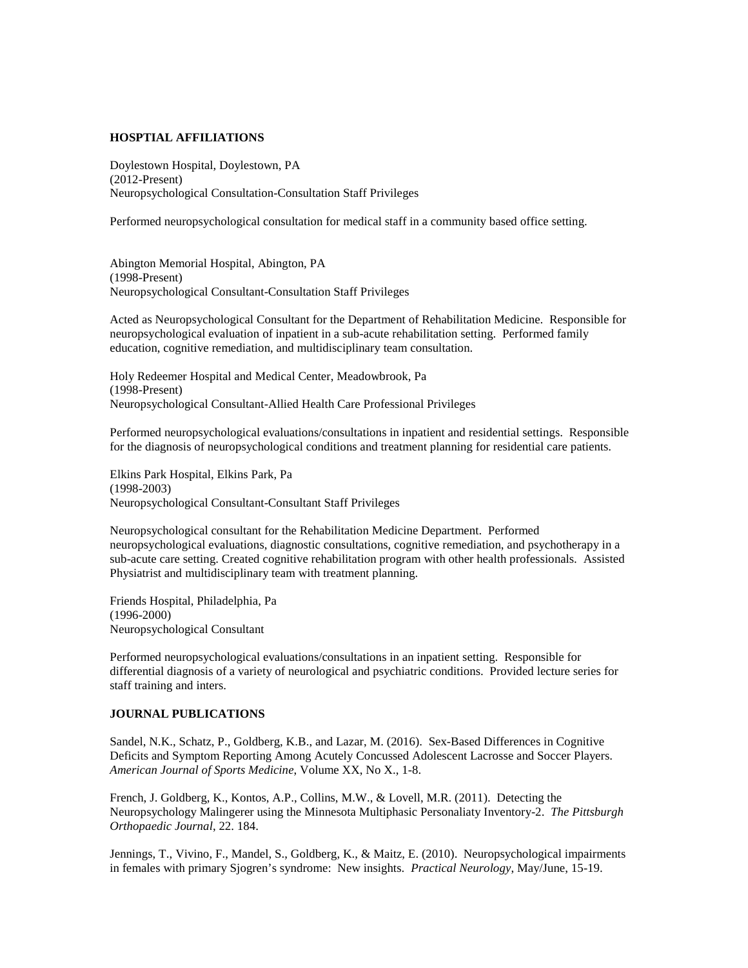## **HOSPTIAL AFFILIATIONS**

Doylestown Hospital, Doylestown, PA (2012-Present) Neuropsychological Consultation-Consultation Staff Privileges

Performed neuropsychological consultation for medical staff in a community based office setting.

Abington Memorial Hospital, Abington, PA (1998-Present) Neuropsychological Consultant-Consultation Staff Privileges

Acted as Neuropsychological Consultant for the Department of Rehabilitation Medicine. Responsible for neuropsychological evaluation of inpatient in a sub-acute rehabilitation setting. Performed family education, cognitive remediation, and multidisciplinary team consultation.

Holy Redeemer Hospital and Medical Center, Meadowbrook, Pa (1998-Present) Neuropsychological Consultant-Allied Health Care Professional Privileges

Performed neuropsychological evaluations/consultations in inpatient and residential settings. Responsible for the diagnosis of neuropsychological conditions and treatment planning for residential care patients.

Elkins Park Hospital, Elkins Park, Pa (1998-2003) Neuropsychological Consultant-Consultant Staff Privileges

Neuropsychological consultant for the Rehabilitation Medicine Department. Performed neuropsychological evaluations, diagnostic consultations, cognitive remediation, and psychotherapy in a sub-acute care setting. Created cognitive rehabilitation program with other health professionals. Assisted Physiatrist and multidisciplinary team with treatment planning.

Friends Hospital, Philadelphia, Pa (1996-2000) Neuropsychological Consultant

Performed neuropsychological evaluations/consultations in an inpatient setting. Responsible for differential diagnosis of a variety of neurological and psychiatric conditions. Provided lecture series for staff training and inters.

### **JOURNAL PUBLICATIONS**

Sandel, N.K., Schatz, P., Goldberg, K.B., and Lazar, M. (2016). Sex-Based Differences in Cognitive Deficits and Symptom Reporting Among Acutely Concussed Adolescent Lacrosse and Soccer Players. *American Journal of Sports Medicine*, Volume XX, No X., 1-8.

French, J. Goldberg, K., Kontos, A.P., Collins, M.W., & Lovell, M.R. (2011). Detecting the Neuropsychology Malingerer using the Minnesota Multiphasic Personaliaty Inventory-2. *The Pittsburgh Orthopaedic Journal*, 22. 184.

Jennings, T., Vivino, F., Mandel, S., Goldberg, K., & Maitz, E. (2010). Neuropsychological impairments in females with primary Sjogren's syndrome: New insights. *Practical Neurology*, May/June, 15-19.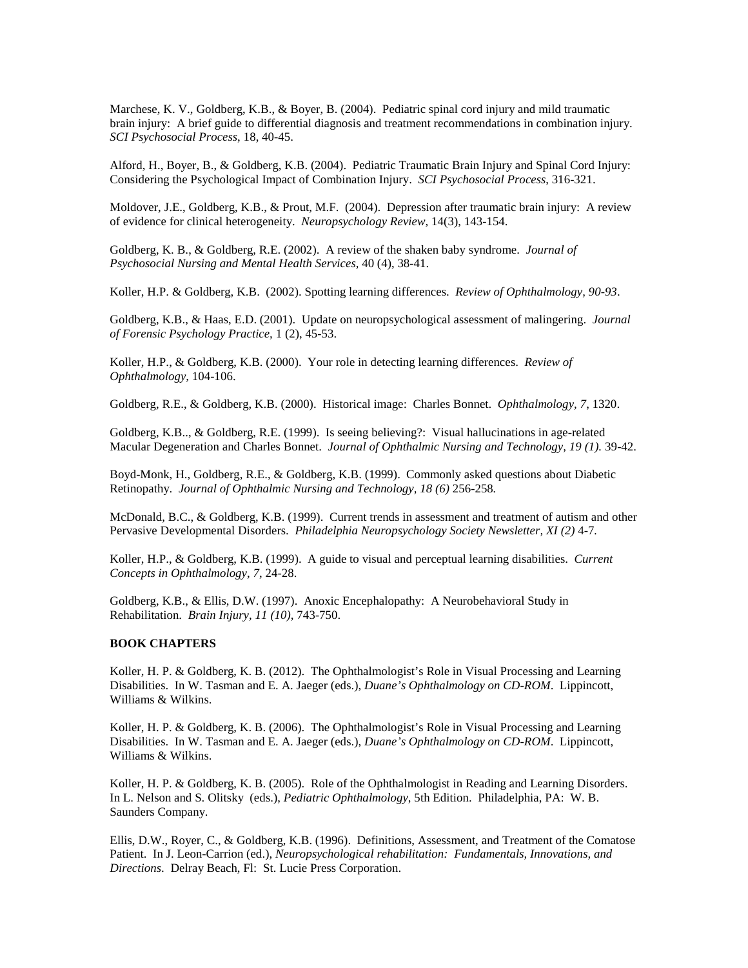Marchese, K. V., Goldberg, K.B., & Boyer, B. (2004). Pediatric spinal cord injury and mild traumatic brain injury: A brief guide to differential diagnosis and treatment recommendations in combination injury. *SCI Psychosocial Process*, 18, 40-45.

Alford, H., Boyer, B., & Goldberg, K.B. (2004). Pediatric Traumatic Brain Injury and Spinal Cord Injury: Considering the Psychological Impact of Combination Injury. *SCI Psychosocial Process*, 316-321.

Moldover, J.E., Goldberg, K.B., & Prout, M.F. (2004). Depression after traumatic brain injury: A review of evidence for clinical heterogeneity. *Neuropsychology Review,* 14(3), 143-154.

Goldberg, K. B., & Goldberg, R.E. (2002). A review of the shaken baby syndrome. *Journal of Psychosocial Nursing and Mental Health Services,* 40 (4), 38-41.

Koller, H.P. & Goldberg, K.B. (2002). Spotting learning differences. *Review of Ophthalmology, 90-93*.

Goldberg, K.B., & Haas, E.D. (2001). Update on neuropsychological assessment of malingering. *Journal of Forensic Psychology Practice,* 1 (2), 45-53.

Koller, H.P., & Goldberg, K.B. (2000). Your role in detecting learning differences. *Review of Ophthalmology,* 104-106.

Goldberg, R.E., & Goldberg, K.B. (2000). Historical image: Charles Bonnet. *Ophthalmology, 7*, 1320.

Goldberg, K.B.., & Goldberg, R.E. (1999). Is seeing believing?: Visual hallucinations in age-related Macular Degeneration and Charles Bonnet. *Journal of Ophthalmic Nursing and Technology, 19 (1).* 39-42.

Boyd-Monk, H., Goldberg, R.E., & Goldberg, K.B. (1999). Commonly asked questions about Diabetic Retinopathy. *Journal of Ophthalmic Nursing and Technology, 18 (6)* 256-258*.*

McDonald, B.C., & Goldberg, K.B. (1999). Current trends in assessment and treatment of autism and other Pervasive Developmental Disorders. *Philadelphia Neuropsychology Society Newsletter, XI (2)* 4-7*.*

Koller, H.P., & Goldberg, K.B. (1999). A guide to visual and perceptual learning disabilities. *Current Concepts in Ophthalmology*, *7*, 24-28.

Goldberg, K.B., & Ellis, D.W. (1997). Anoxic Encephalopathy: A Neurobehavioral Study in Rehabilitation. *Brain Injury, 11 (10),* 743-750.

#### **BOOK CHAPTERS**

Koller, H. P. & Goldberg, K. B. (2012). The Ophthalmologist's Role in Visual Processing and Learning Disabilities. In W. Tasman and E. A. Jaeger (eds.), *Duane's Ophthalmology on CD-ROM*. Lippincott, Williams & Wilkins.

Koller, H. P. & Goldberg, K. B. (2006). The Ophthalmologist's Role in Visual Processing and Learning Disabilities. In W. Tasman and E. A. Jaeger (eds.), *Duane's Ophthalmology on CD-ROM*. Lippincott, Williams & Wilkins.

Koller, H. P. & Goldberg, K. B. (2005). Role of the Ophthalmologist in Reading and Learning Disorders. In L. Nelson and S. Olitsky (eds.), *Pediatric Ophthalmology*, 5th Edition. Philadelphia, PA: W. B. Saunders Company.

Ellis, D.W., Royer, C., & Goldberg, K.B. (1996). Definitions, Assessment, and Treatment of the Comatose Patient. In J. Leon-Carrion (ed.), *Neuropsychological rehabilitation: Fundamentals, Innovations, and Directions*. Delray Beach, Fl: St. Lucie Press Corporation.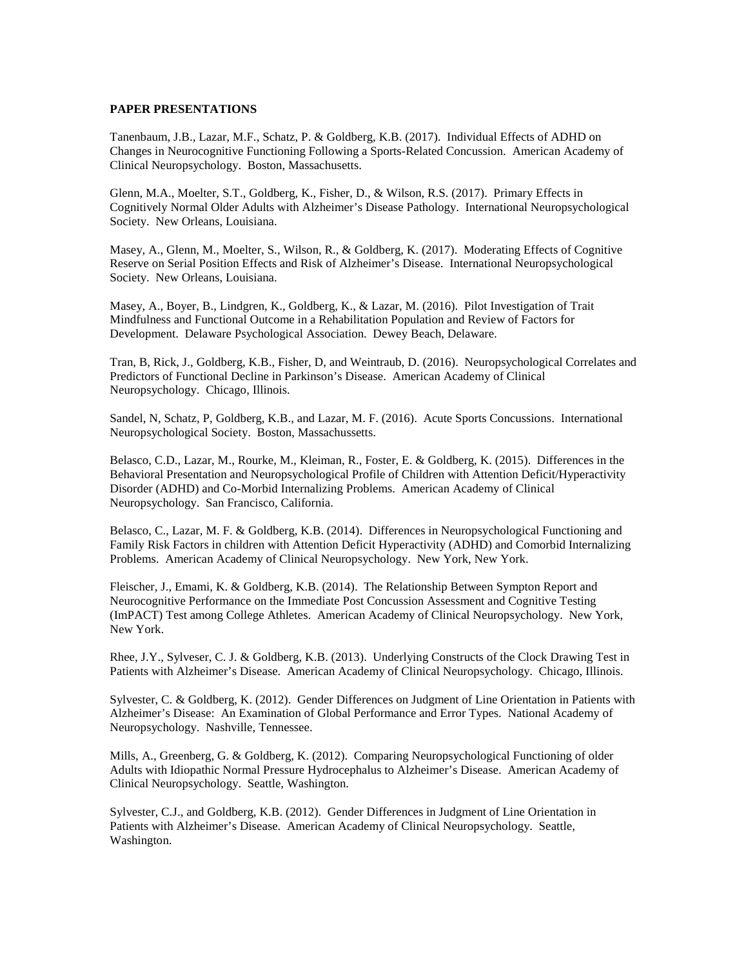#### **PAPER PRESENTATIONS**

Tanenbaum, J.B., Lazar, M.F., Schatz, P. & Goldberg, K.B. (2017). Individual Effects of ADHD on Changes in Neurocognitive Functioning Following a Sports-Related Concussion. American Academy of Clinical Neuropsychology. Boston, Massachusetts.

Glenn, M.A., Moelter, S.T., Goldberg, K., Fisher, D., & Wilson, R.S. (2017). Primary Effects in Cognitively Normal Older Adults with Alzheimer's Disease Pathology. International Neuropsychological Society. New Orleans, Louisiana.

Masey, A., Glenn, M., Moelter, S., Wilson, R., & Goldberg, K. (2017). Moderating Effects of Cognitive Reserve on Serial Position Effects and Risk of Alzheimer's Disease. International Neuropsychological Society. New Orleans, Louisiana.

Masey, A., Boyer, B., Lindgren, K., Goldberg, K., & Lazar, M. (2016). Pilot Investigation of Trait Mindfulness and Functional Outcome in a Rehabilitation Population and Review of Factors for Development. Delaware Psychological Association. Dewey Beach, Delaware.

Tran, B, Rick, J., Goldberg, K.B., Fisher, D, and Weintraub, D. (2016). Neuropsychological Correlates and Predictors of Functional Decline in Parkinson's Disease. American Academy of Clinical Neuropsychology. Chicago, Illinois.

Sandel, N, Schatz, P, Goldberg, K.B., and Lazar, M. F. (2016). Acute Sports Concussions. International Neuropsychological Society. Boston, Massachussetts.

Belasco, C.D., Lazar, M., Rourke, M., Kleiman, R., Foster, E. & Goldberg, K. (2015). Differences in the Behavioral Presentation and Neuropsychological Profile of Children with Attention Deficit/Hyperactivity Disorder (ADHD) and Co-Morbid Internalizing Problems. American Academy of Clinical Neuropsychology. San Francisco, California.

Belasco, C., Lazar, M. F. & Goldberg, K.B. (2014). Differences in Neuropsychological Functioning and Family Risk Factors in children with Attention Deficit Hyperactivity (ADHD) and Comorbid Internalizing Problems. American Academy of Clinical Neuropsychology. New York, New York.

Fleischer, J., Emami, K. & Goldberg, K.B. (2014). The Relationship Between Sympton Report and Neurocognitive Performance on the Immediate Post Concussion Assessment and Cognitive Testing (ImPACT) Test among College Athletes. American Academy of Clinical Neuropsychology. New York, New York.

Rhee, J.Y., Sylveser, C. J. & Goldberg, K.B. (2013). Underlying Constructs of the Clock Drawing Test in Patients with Alzheimer's Disease. American Academy of Clinical Neuropsychology. Chicago, Illinois.

Sylvester, C. & Goldberg, K. (2012). Gender Differences on Judgment of Line Orientation in Patients with Alzheimer's Disease: An Examination of Global Performance and Error Types. National Academy of Neuropsychology. Nashville, Tennessee.

Mills, A., Greenberg, G. & Goldberg, K. (2012). Comparing Neuropsychological Functioning of older Adults with Idiopathic Normal Pressure Hydrocephalus to Alzheimer's Disease. American Academy of Clinical Neuropsychology. Seattle, Washington.

Sylvester, C.J., and Goldberg, K.B. (2012). Gender Differences in Judgment of Line Orientation in Patients with Alzheimer's Disease. American Academy of Clinical Neuropsychology. Seattle, Washington.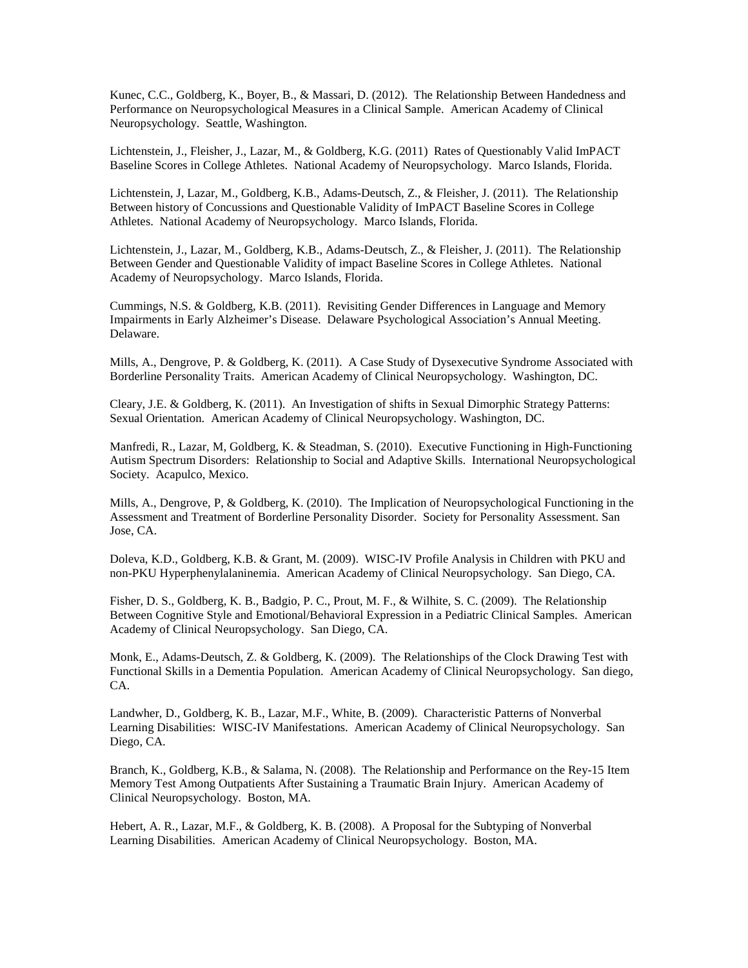Kunec, C.C., Goldberg, K., Boyer, B., & Massari, D. (2012). The Relationship Between Handedness and Performance on Neuropsychological Measures in a Clinical Sample. American Academy of Clinical Neuropsychology. Seattle, Washington.

Lichtenstein, J., Fleisher, J., Lazar, M., & Goldberg, K.G. (2011) Rates of Questionably Valid ImPACT Baseline Scores in College Athletes. National Academy of Neuropsychology. Marco Islands, Florida.

Lichtenstein, J, Lazar, M., Goldberg, K.B., Adams-Deutsch, Z., & Fleisher, J. (2011). The Relationship Between history of Concussions and Questionable Validity of ImPACT Baseline Scores in College Athletes. National Academy of Neuropsychology. Marco Islands, Florida.

Lichtenstein, J., Lazar, M., Goldberg, K.B., Adams-Deutsch, Z., & Fleisher, J. (2011). The Relationship Between Gender and Questionable Validity of impact Baseline Scores in College Athletes. National Academy of Neuropsychology. Marco Islands, Florida.

Cummings, N.S. & Goldberg, K.B. (2011). Revisiting Gender Differences in Language and Memory Impairments in Early Alzheimer's Disease. Delaware Psychological Association's Annual Meeting. Delaware.

Mills, A., Dengrove, P. & Goldberg, K. (2011). A Case Study of Dysexecutive Syndrome Associated with Borderline Personality Traits. American Academy of Clinical Neuropsychology. Washington, DC.

Cleary, J.E. & Goldberg, K. (2011). An Investigation of shifts in Sexual Dimorphic Strategy Patterns: Sexual Orientation. American Academy of Clinical Neuropsychology. Washington, DC.

Manfredi, R., Lazar, M, Goldberg, K. & Steadman, S. (2010). Executive Functioning in High-Functioning Autism Spectrum Disorders: Relationship to Social and Adaptive Skills. International Neuropsychological Society. Acapulco, Mexico.

Mills, A., Dengrove, P, & Goldberg, K. (2010). The Implication of Neuropsychological Functioning in the Assessment and Treatment of Borderline Personality Disorder. Society for Personality Assessment. San Jose, CA.

Doleva, K.D., Goldberg, K.B. & Grant, M. (2009). WISC-IV Profile Analysis in Children with PKU and non-PKU Hyperphenylalaninemia. American Academy of Clinical Neuropsychology. San Diego, CA.

Fisher, D. S., Goldberg, K. B., Badgio, P. C., Prout, M. F., & Wilhite, S. C. (2009). The Relationship Between Cognitive Style and Emotional/Behavioral Expression in a Pediatric Clinical Samples. American Academy of Clinical Neuropsychology. San Diego, CA.

Monk, E., Adams-Deutsch, Z. & Goldberg, K. (2009). The Relationships of the Clock Drawing Test with Functional Skills in a Dementia Population. American Academy of Clinical Neuropsychology. San diego, CA.

Landwher, D., Goldberg, K. B., Lazar, M.F., White, B. (2009). Characteristic Patterns of Nonverbal Learning Disabilities: WISC-IV Manifestations. American Academy of Clinical Neuropsychology. San Diego, CA.

Branch, K., Goldberg, K.B., & Salama, N. (2008). The Relationship and Performance on the Rey-15 Item Memory Test Among Outpatients After Sustaining a Traumatic Brain Injury. American Academy of Clinical Neuropsychology. Boston, MA.

Hebert, A. R., Lazar, M.F., & Goldberg, K. B. (2008). A Proposal for the Subtyping of Nonverbal Learning Disabilities. American Academy of Clinical Neuropsychology. Boston, MA.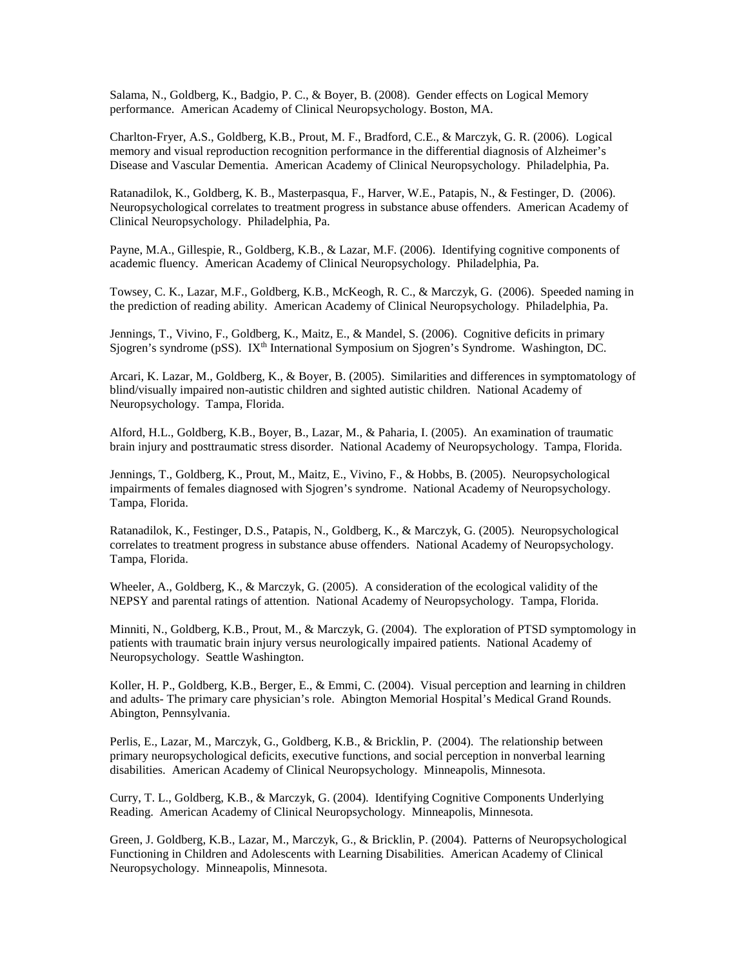Salama, N., Goldberg, K., Badgio, P. C., & Boyer, B. (2008). Gender effects on Logical Memory performance. American Academy of Clinical Neuropsychology. Boston, MA.

Charlton-Fryer, A.S., Goldberg, K.B., Prout, M. F., Bradford, C.E., & Marczyk, G. R. (2006). Logical memory and visual reproduction recognition performance in the differential diagnosis of Alzheimer's Disease and Vascular Dementia. American Academy of Clinical Neuropsychology. Philadelphia, Pa.

Ratanadilok, K., Goldberg, K. B., Masterpasqua, F., Harver, W.E., Patapis, N., & Festinger, D. (2006). Neuropsychological correlates to treatment progress in substance abuse offenders. American Academy of Clinical Neuropsychology. Philadelphia, Pa.

Payne, M.A., Gillespie, R., Goldberg, K.B., & Lazar, M.F. (2006). Identifying cognitive components of academic fluency. American Academy of Clinical Neuropsychology. Philadelphia, Pa.

Towsey, C. K., Lazar, M.F., Goldberg, K.B., McKeogh, R. C., & Marczyk, G. (2006). Speeded naming in the prediction of reading ability. American Academy of Clinical Neuropsychology. Philadelphia, Pa.

Jennings, T., Vivino, F., Goldberg, K., Maitz, E., & Mandel, S. (2006). Cognitive deficits in primary Sjogren's syndrome (pSS). IXth International Symposium on Sjogren's Syndrome. Washington, DC.

Arcari, K. Lazar, M., Goldberg, K., & Boyer, B. (2005). Similarities and differences in symptomatology of blind/visually impaired non-autistic children and sighted autistic children. National Academy of Neuropsychology. Tampa, Florida.

Alford, H.L., Goldberg, K.B., Boyer, B., Lazar, M., & Paharia, I. (2005). An examination of traumatic brain injury and posttraumatic stress disorder. National Academy of Neuropsychology. Tampa, Florida.

Jennings, T., Goldberg, K., Prout, M., Maitz, E., Vivino, F., & Hobbs, B. (2005). Neuropsychological impairments of females diagnosed with Sjogren's syndrome. National Academy of Neuropsychology. Tampa, Florida.

Ratanadilok, K., Festinger, D.S., Patapis, N., Goldberg, K., & Marczyk, G. (2005). Neuropsychological correlates to treatment progress in substance abuse offenders. National Academy of Neuropsychology. Tampa, Florida.

Wheeler, A., Goldberg, K., & Marczyk, G. (2005). A consideration of the ecological validity of the NEPSY and parental ratings of attention. National Academy of Neuropsychology. Tampa, Florida.

Minniti, N., Goldberg, K.B., Prout, M., & Marczyk, G. (2004). The exploration of PTSD symptomology in patients with traumatic brain injury versus neurologically impaired patients. National Academy of Neuropsychology. Seattle Washington.

Koller, H. P., Goldberg, K.B., Berger, E., & Emmi, C. (2004). Visual perception and learning in children and adults- The primary care physician's role. Abington Memorial Hospital's Medical Grand Rounds. Abington, Pennsylvania.

Perlis, E., Lazar, M., Marczyk, G., Goldberg, K.B., & Bricklin, P. (2004). The relationship between primary neuropsychological deficits, executive functions, and social perception in nonverbal learning disabilities. American Academy of Clinical Neuropsychology. Minneapolis, Minnesota.

Curry, T. L., Goldberg, K.B., & Marczyk, G. (2004). Identifying Cognitive Components Underlying Reading. American Academy of Clinical Neuropsychology. Minneapolis, Minnesota.

Green, J. Goldberg, K.B., Lazar, M., Marczyk, G., & Bricklin, P. (2004). Patterns of Neuropsychological Functioning in Children and Adolescents with Learning Disabilities. American Academy of Clinical Neuropsychology. Minneapolis, Minnesota.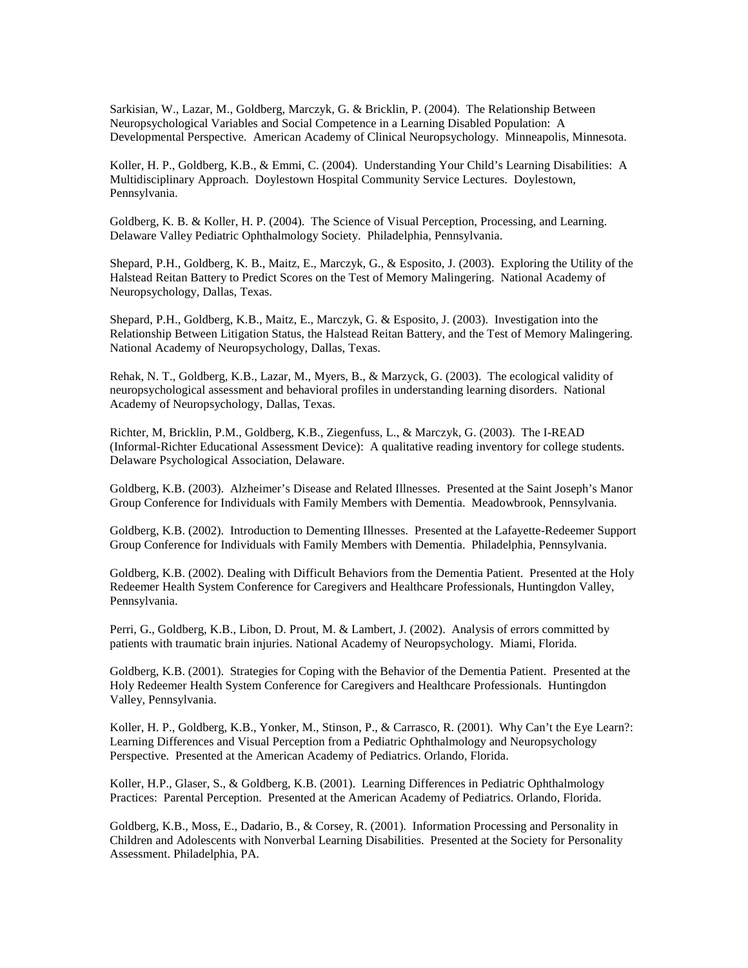Sarkisian, W., Lazar, M., Goldberg, Marczyk, G. & Bricklin, P. (2004). The Relationship Between Neuropsychological Variables and Social Competence in a Learning Disabled Population: A Developmental Perspective. American Academy of Clinical Neuropsychology. Minneapolis, Minnesota.

Koller, H. P., Goldberg, K.B., & Emmi, C. (2004). Understanding Your Child's Learning Disabilities: A Multidisciplinary Approach. Doylestown Hospital Community Service Lectures. Doylestown, Pennsylvania.

Goldberg, K. B. & Koller, H. P. (2004). The Science of Visual Perception, Processing, and Learning. Delaware Valley Pediatric Ophthalmology Society. Philadelphia, Pennsylvania.

Shepard, P.H., Goldberg, K. B., Maitz, E., Marczyk, G., & Esposito, J. (2003). Exploring the Utility of the Halstead Reitan Battery to Predict Scores on the Test of Memory Malingering. National Academy of Neuropsychology, Dallas, Texas.

Shepard, P.H., Goldberg, K.B., Maitz, E., Marczyk, G. & Esposito, J. (2003). Investigation into the Relationship Between Litigation Status, the Halstead Reitan Battery, and the Test of Memory Malingering. National Academy of Neuropsychology, Dallas, Texas.

Rehak, N. T., Goldberg, K.B., Lazar, M., Myers, B., & Marzyck, G. (2003). The ecological validity of neuropsychological assessment and behavioral profiles in understanding learning disorders. National Academy of Neuropsychology, Dallas, Texas.

Richter, M, Bricklin, P.M., Goldberg, K.B., Ziegenfuss, L., & Marczyk, G. (2003). The I-READ (Informal-Richter Educational Assessment Device): A qualitative reading inventory for college students. Delaware Psychological Association, Delaware.

Goldberg, K.B. (2003). Alzheimer's Disease and Related Illnesses. Presented at the Saint Joseph's Manor Group Conference for Individuals with Family Members with Dementia. Meadowbrook, Pennsylvania.

Goldberg, K.B. (2002). Introduction to Dementing Illnesses. Presented at the Lafayette-Redeemer Support Group Conference for Individuals with Family Members with Dementia. Philadelphia, Pennsylvania.

Goldberg, K.B. (2002). Dealing with Difficult Behaviors from the Dementia Patient. Presented at the Holy Redeemer Health System Conference for Caregivers and Healthcare Professionals, Huntingdon Valley, Pennsylvania.

Perri, G., Goldberg, K.B., Libon, D. Prout, M. & Lambert, J. (2002). Analysis of errors committed by patients with traumatic brain injuries. National Academy of Neuropsychology. Miami, Florida.

Goldberg, K.B. (2001). Strategies for Coping with the Behavior of the Dementia Patient. Presented at the Holy Redeemer Health System Conference for Caregivers and Healthcare Professionals. Huntingdon Valley, Pennsylvania.

Koller, H. P., Goldberg, K.B., Yonker, M., Stinson, P., & Carrasco, R. (2001). Why Can't the Eye Learn?: Learning Differences and Visual Perception from a Pediatric Ophthalmology and Neuropsychology Perspective. Presented at the American Academy of Pediatrics. Orlando, Florida.

Koller, H.P., Glaser, S., & Goldberg, K.B. (2001). Learning Differences in Pediatric Ophthalmology Practices: Parental Perception. Presented at the American Academy of Pediatrics. Orlando, Florida.

Goldberg, K.B., Moss, E., Dadario, B., & Corsey, R. (2001). Information Processing and Personality in Children and Adolescents with Nonverbal Learning Disabilities. Presented at the Society for Personality Assessment. Philadelphia, PA.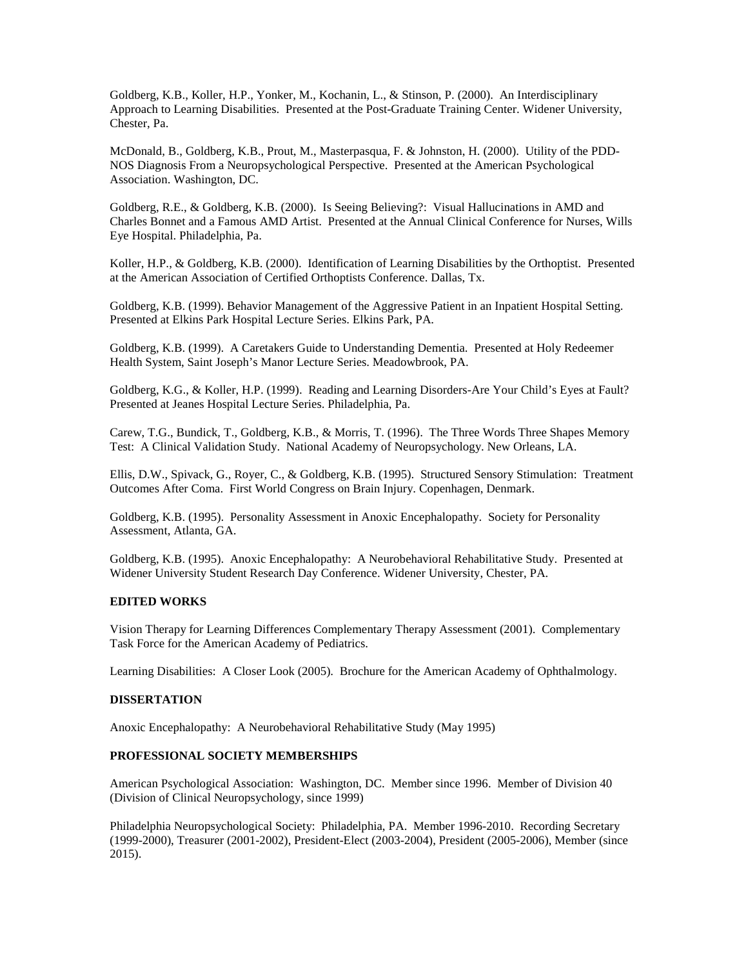Goldberg, K.B., Koller, H.P., Yonker, M., Kochanin, L., & Stinson, P. (2000). An Interdisciplinary Approach to Learning Disabilities. Presented at the Post-Graduate Training Center. Widener University, Chester, Pa.

McDonald, B., Goldberg, K.B., Prout, M., Masterpasqua, F. & Johnston, H. (2000). Utility of the PDD-NOS Diagnosis From a Neuropsychological Perspective. Presented at the American Psychological Association. Washington, DC.

Goldberg, R.E., & Goldberg, K.B. (2000). Is Seeing Believing?: Visual Hallucinations in AMD and Charles Bonnet and a Famous AMD Artist. Presented at the Annual Clinical Conference for Nurses, Wills Eye Hospital. Philadelphia, Pa.

Koller, H.P., & Goldberg, K.B. (2000). Identification of Learning Disabilities by the Orthoptist. Presented at the American Association of Certified Orthoptists Conference. Dallas, Tx.

Goldberg, K.B. (1999). Behavior Management of the Aggressive Patient in an Inpatient Hospital Setting. Presented at Elkins Park Hospital Lecture Series. Elkins Park, PA.

Goldberg, K.B. (1999). A Caretakers Guide to Understanding Dementia. Presented at Holy Redeemer Health System, Saint Joseph's Manor Lecture Series. Meadowbrook, PA.

Goldberg, K.G., & Koller, H.P. (1999). Reading and Learning Disorders-Are Your Child's Eyes at Fault? Presented at Jeanes Hospital Lecture Series. Philadelphia, Pa.

Carew, T.G., Bundick, T., Goldberg, K.B., & Morris, T. (1996). The Three Words Three Shapes Memory Test: A Clinical Validation Study. National Academy of Neuropsychology. New Orleans, LA.

Ellis, D.W., Spivack, G., Royer, C., & Goldberg, K.B. (1995). Structured Sensory Stimulation: Treatment Outcomes After Coma. First World Congress on Brain Injury. Copenhagen, Denmark.

Goldberg, K.B. (1995). Personality Assessment in Anoxic Encephalopathy. Society for Personality Assessment, Atlanta, GA.

Goldberg, K.B. (1995). Anoxic Encephalopathy: A Neurobehavioral Rehabilitative Study. Presented at Widener University Student Research Day Conference. Widener University, Chester, PA.

# **EDITED WORKS**

Vision Therapy for Learning Differences Complementary Therapy Assessment (2001). Complementary Task Force for the American Academy of Pediatrics.

Learning Disabilities: A Closer Look (2005). Brochure for the American Academy of Ophthalmology.

### **DISSERTATION**

Anoxic Encephalopathy: A Neurobehavioral Rehabilitative Study (May 1995)

## **PROFESSIONAL SOCIETY MEMBERSHIPS**

American Psychological Association: Washington, DC. Member since 1996. Member of Division 40 (Division of Clinical Neuropsychology, since 1999)

Philadelphia Neuropsychological Society: Philadelphia, PA. Member 1996-2010. Recording Secretary (1999-2000), Treasurer (2001-2002), President-Elect (2003-2004), President (2005-2006), Member (since 2015).